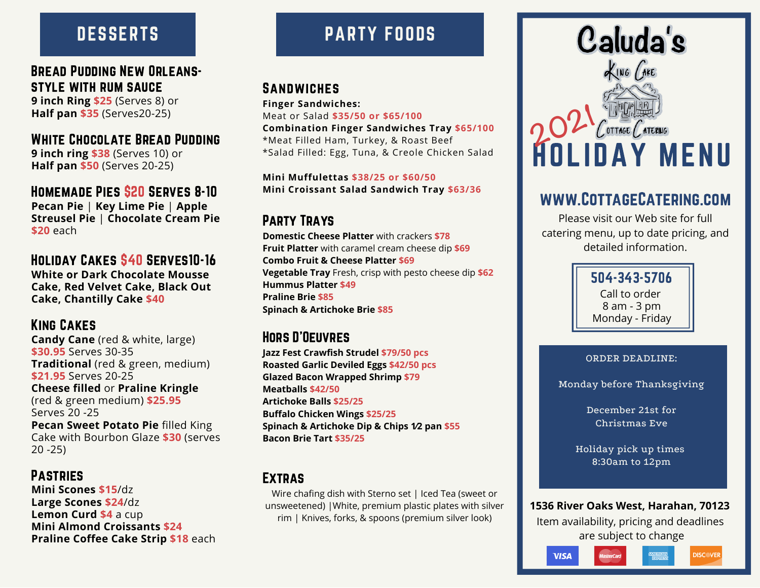# **DESSERTS**

#### Bread Pudding New Orleansstyle with rum sauce

**9 inch Ring \$25** (Serves 8) or **Half pan \$35** (Serves20-25)

# White Chocolate Bread Pudding

**9 inch ring \$38** (Serves 10) or **Half pan \$50** (Serves 20-25)

Homemade Pies \$20 Serves 8-10 **Pecan Pie** | **Key Lime Pie** | **Apple Streusel Pie** | **Chocolate Cream Pie \$20** each

Holiday Cakes \$40 Serves10-16 **White or Dark Chocolate Mousse Cake, Red Velvet Cake, Black Out Cake, Chantilly Cake \$40**

#### King Cakes

**Candy Cane** (red & white, large) **\$30.95** Serves 30-35 **Traditional** (red & green, medium) **\$21.95** Serves 20-25 **Cheese filled** or **Praline Kringle** (red & green medium) **\$25.95** Serves 20 -25 **Pecan Sweet Potato Pie** filled King Cake with Bourbon Glaze **\$30** (serves 20 -25)

#### Pastries

**Mini Scones \$15**/dz **Large Scones \$24**/dz **Lemon Curd \$4** a cup **Mini Almond Croissants \$24 Praline Coffee Cake Strip \$18** each

# PARTY FOODS

## **SANDWICHES**

**Finger Sandwiches:** Meat or Salad **\$35/50 or \$65/100 Combination Finger Sandwiches Tray \$65/100** \*Meat Filled Ham, Turkey, & Roast Beef \*Salad Filled: Egg, Tuna, & Creole Chicken Salad

**Mini Muffulettas \$38/25 or \$60/50 Mini Croissant Salad Sandwich Tray \$63/36**

## Party Trays

**Domestic Cheese Platter** with crackers **\$78 Fruit Platter** with caramel cream cheese dip **\$69 Combo Fruit & Cheese Platter \$69 Vegetable Tray** Fresh, crisp with pesto cheese dip **\$62 Hummus Platter \$49 Praline Brie \$85 Spinach & Artichoke Brie \$85**

#### Hors D'Oeuvres

**Jazz Fest Crawfish Strudel \$79/50 pcs Roasted Garlic Deviled Eggs \$42/50 pcs Glazed Bacon Wrapped Shrimp \$79 Meatballs \$42/50 Artichoke Balls \$25/25 Buffalo Chicken Wings \$25/25 Spinach & Artichoke Dip & Chips 1⁄2 pan \$55 Bacon Brie Tart \$35/25**

#### Extras

Wire chafing dish with Sterno set | Iced Tea (sweet or unsweetened) |White, premium plastic plates with silver rim | Knives, forks, & spoons (premium silver look)



## www.CottageCatering.com

Please visit our Web site for full catering menu, up to date pricing, and detailed information.

> 504-343-5706 Call to order 8 am - 3 pm Monday - Friday

#### ORDER DEADLINE:

Monday before Thanksgiving

December 21st for Christmas Eve

Holiday pick up times 8:30am to 12pm

**1536 River Oaks West, Harahan, 70123**

Item availability, pricing and deadlines are subject to change